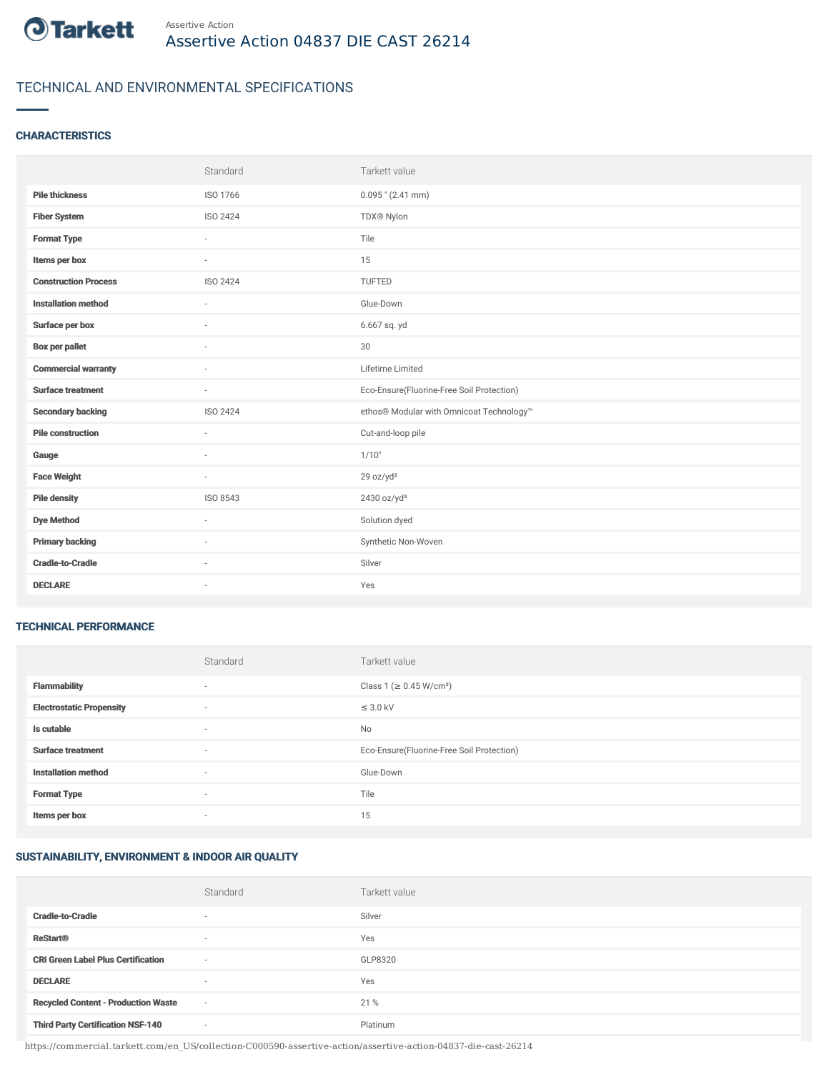

## TECHNICAL AND ENVIRONMENTAL SPECIFICATIONS

#### **CHARACTERISTICS**

|                             | Standard                 | Tarkett value                             |
|-----------------------------|--------------------------|-------------------------------------------|
| <b>Pile thickness</b>       | ISO 1766                 | $0.095$ " (2.41 mm)                       |
| <b>Fiber System</b>         | ISO 2424                 | TDX® Nylon                                |
| <b>Format Type</b>          |                          | Tile                                      |
| Items per box               | $\overline{\phantom{a}}$ | 15                                        |
| <b>Construction Process</b> | ISO 2424                 | TUFTED                                    |
| <b>Installation method</b>  | $\sim$                   | Glue-Down                                 |
| Surface per box             | $\sim$                   | 6.667 sq. yd                              |
| <b>Box per pallet</b>       | $\sim$                   | 30                                        |
| <b>Commercial warranty</b>  |                          | Lifetime Limited                          |
| <b>Surface treatment</b>    | $\sim$                   | Eco-Ensure(Fluorine-Free Soil Protection) |
| <b>Secondary backing</b>    | ISO 2424                 | ethos® Modular with Omnicoat Technology™  |
| <b>Pile construction</b>    | $\sim$                   | Cut-and-loop pile                         |
| Gauge                       | $\sim$                   | 1/10"                                     |
| <b>Face Weight</b>          | $\sim$                   | 29 oz/yd <sup>2</sup>                     |
| <b>Pile density</b>         | ISO 8543                 | 2430 oz/yd <sup>3</sup>                   |
| <b>Dye Method</b>           | $\sim$                   | Solution dyed                             |
| <b>Primary backing</b>      | $\sim$                   | Synthetic Non-Woven                       |
| <b>Cradle-to-Cradle</b>     |                          | Silver                                    |
| <b>DECLARE</b>              | $\sim$                   | Yes                                       |

#### TECHNICAL PERFORMANCE

|                                 | Standard                 | Tarkett value                             |
|---------------------------------|--------------------------|-------------------------------------------|
| <b>Flammability</b>             | $\overline{\phantom{a}}$ | Class 1 (≥ 0.45 W/cm <sup>2</sup> )       |
| <b>Electrostatic Propensity</b> | $\overline{\phantom{a}}$ | $\leq$ 3.0 kV                             |
| Is cutable                      | $\overline{\phantom{a}}$ | No                                        |
| <b>Surface treatment</b>        | $\sim$                   | Eco-Ensure(Fluorine-Free Soil Protection) |
| <b>Installation method</b>      | $\overline{\phantom{a}}$ | Glue-Down                                 |
| <b>Format Type</b>              | $\overline{\phantom{a}}$ | Tile                                      |
| Items per box                   | $\overline{\phantom{a}}$ | 15                                        |

## SUSTAINABILITY, ENVIRONMENT & INDOOR AIR QUALITY

|                                            | Standard                 | Tarkett value |
|--------------------------------------------|--------------------------|---------------|
| <b>Cradle-to-Cradle</b>                    | $\overline{\phantom{a}}$ | Silver        |
| <b>ReStart®</b>                            | $\overline{\phantom{a}}$ | Yes           |
| <b>CRI Green Label Plus Certification</b>  | $\sim$                   | GLP8320       |
| <b>DECLARE</b>                             | $\overline{\phantom{a}}$ | Yes           |
| <b>Recycled Content - Production Waste</b> | $\sim$                   | 21 %          |
| <b>Third Party Certification NSF-140</b>   | $\sim$                   | Platinum      |

https://commercial.tarkett.com/en\_US/collection-C000590-assertive-action/assertive-action-04837-die-cast-26214